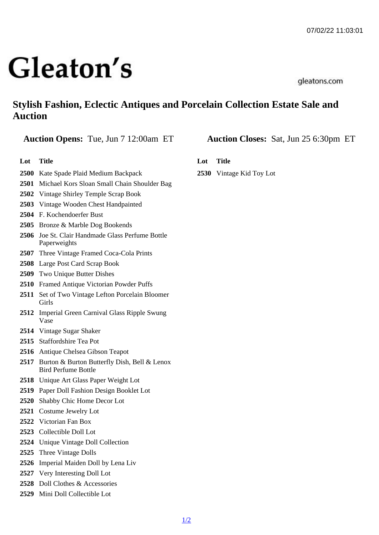## Stylish Fashion, Eclectic Antiques and Porcelain Collection Estate Sale and Auction

Auction Opens: Tue, Jun 7 12:00am ET Auction Closes: Sat, Jun 25 6:30pm ET

Lot Title

- Kate Spade Plaid Medium Backpack
- Michael Kors Sloan Small Chain Shoulder Bag
- Vintage Shirley Temple Scrap Book
- Vintage Wooden Chest Handpainted
- F. Kochendoerfer Bust
- Bronze & Marble Dog Bookends
- Joe St. Clair Handmade Glass Perfume Bottle **Paperweights**
- Three Vintage Framed Coca-Cola Prints
- Large Post Card Scrap Book
- Two Unique Butter Dishes
- Framed Antique Victorian Powder Puffs
- Set of Two Vintage Lefton Porcelain Bloomer Girls
- Imperial Green Carnival Glass Ripple Swung Vase
- Vintage Sugar Shaker
- Staffordshire Tea Pot
- Antique Chelsea Gibson Teapot
- Burton & Burton Butterfly Dish, Bell & Lenox Bird Perfume Bottle
- Unique Art Glass Paper Weight Lot
- Paper Doll Fashion Design Booklet Lot
- Shabby Chic Home Decor Lot
- Costume Jewelry Lot
- Victorian Fan Box
- Collectible Doll Lot
- Unique Vintage Doll Collection
- Three Vintage Dolls
- Imperial Maiden Doll by Lena Liv
- Very Interesting Doll Lot
- Doll Clothes & Accessories
- Mini Doll Collectible Lot

Lot Title

Vintage Kid Toy Lot